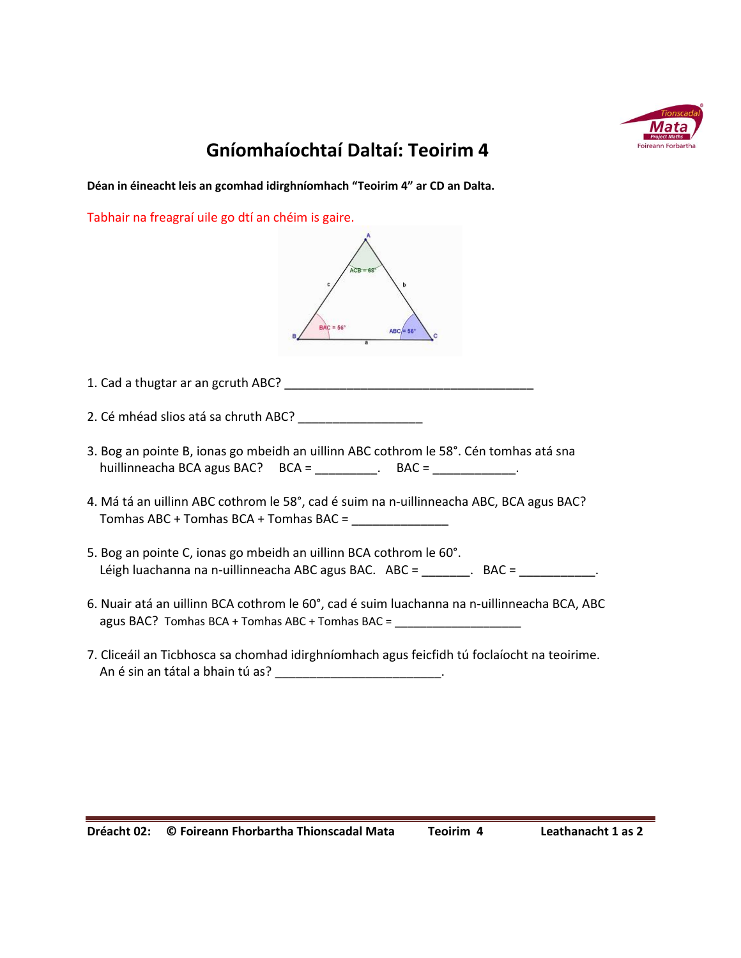

## **Gníomhaíochtaí Daltaí: Teoirim 4**

**Déan in éineacht leis an gcomhad idirghníomhach "Teoirim 4" ar CD an Dalta.**

Tabhair na freagraí uile go dtí an chéim is gaire.

| 2. Cé mhéad slios atá sa chruth ABC? ______________________                                                                                             |
|---------------------------------------------------------------------------------------------------------------------------------------------------------|
| 3. Bog an pointe B, ionas go mbeidh an uillinn ABC cothrom le 58°. Cén tomhas atá sna                                                                   |
| 4. Má tá an uillinn ABC cothrom le 58°, cad é suim na n-uillinneacha ABC, BCA agus BAC?                                                                 |
| 5. Bog an pointe C, ionas go mbeidh an uillinn BCA cothrom le 60°.<br>Léigh luachanna na n-uillinneacha ABC agus BAC. ABC = _______. BAC = ___________. |
| 6. Nuair atá an uillinn BCA cothrom le 60°, cad é suim luachanna na n-uillinneacha BCA, ABC<br>agus BAC? Tomhas BCA + Tomhas ABC + Tomhas BAC =         |

7. Cliceáil an Ticbhosca sa chomhad idirghníomhach agus feicfidh tú foclaíocht na teoirime. An é sin an tátal a bhain tú as? \_\_\_\_\_\_\_\_\_\_\_\_\_\_\_\_\_\_\_\_\_\_\_\_\_\_\_\_.